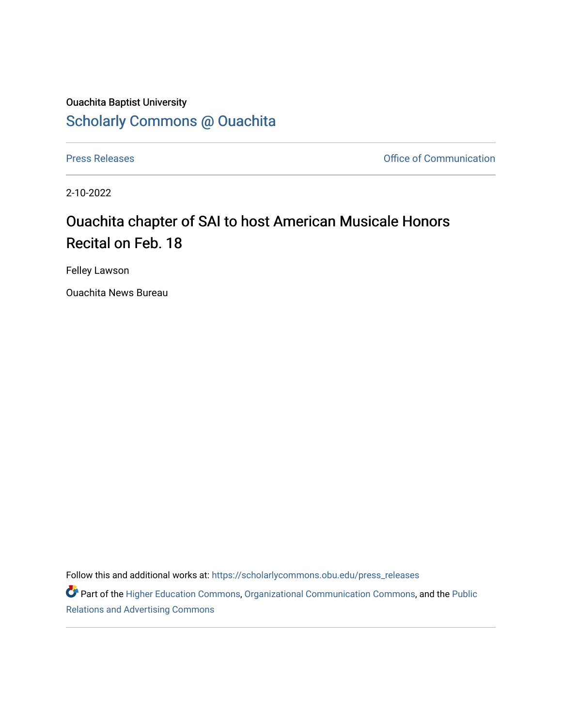## Ouachita Baptist University [Scholarly Commons @ Ouachita](https://scholarlycommons.obu.edu/)

[Press Releases](https://scholarlycommons.obu.edu/press_releases) **Press Releases Communication** 

2-10-2022

## Ouachita chapter of SAI to host American Musicale Honors Recital on Feb. 18

Felley Lawson

Ouachita News Bureau

Follow this and additional works at: [https://scholarlycommons.obu.edu/press\\_releases](https://scholarlycommons.obu.edu/press_releases?utm_source=scholarlycommons.obu.edu%2Fpress_releases%2F1050&utm_medium=PDF&utm_campaign=PDFCoverPages)

Part of the [Higher Education Commons,](http://network.bepress.com/hgg/discipline/1245?utm_source=scholarlycommons.obu.edu%2Fpress_releases%2F1050&utm_medium=PDF&utm_campaign=PDFCoverPages) [Organizational Communication Commons,](http://network.bepress.com/hgg/discipline/335?utm_source=scholarlycommons.obu.edu%2Fpress_releases%2F1050&utm_medium=PDF&utm_campaign=PDFCoverPages) and the [Public](http://network.bepress.com/hgg/discipline/336?utm_source=scholarlycommons.obu.edu%2Fpress_releases%2F1050&utm_medium=PDF&utm_campaign=PDFCoverPages) [Relations and Advertising Commons](http://network.bepress.com/hgg/discipline/336?utm_source=scholarlycommons.obu.edu%2Fpress_releases%2F1050&utm_medium=PDF&utm_campaign=PDFCoverPages)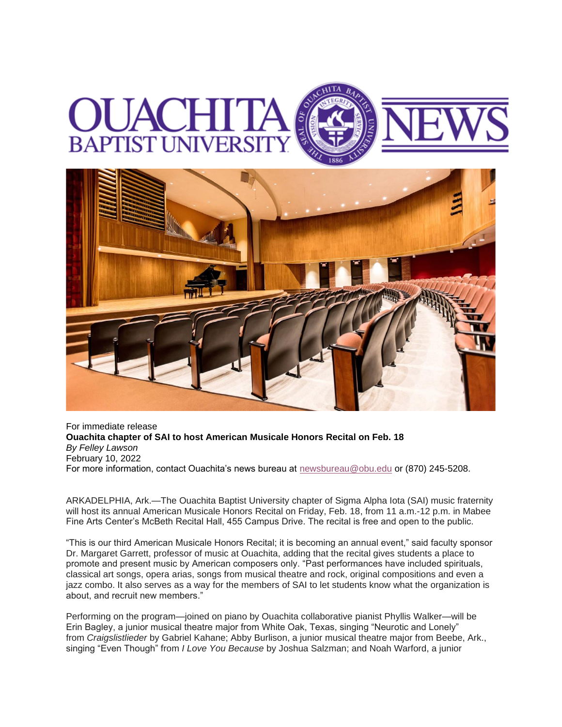



For immediate release **Ouachita chapter of SAI to host American Musicale Honors Recital on Feb. 18**  *By Felley Lawson* February 10, 2022 For more information, contact Ouachita's news bureau at [newsbureau@obu.edu](mailto:newsbureau@obu.edu) or (870) 245-5208.

ARKADELPHIA, Ark.—The Ouachita Baptist University chapter of Sigma Alpha Iota (SAI) music fraternity will host its annual American Musicale Honors Recital on Friday, Feb. 18, from 11 a.m.-12 p.m. in Mabee Fine Arts Center's McBeth Recital Hall, 455 Campus Drive. The recital is free and open to the public.

"This is our third American Musicale Honors Recital; it is becoming an annual event," said faculty sponsor Dr. Margaret Garrett, professor of music at Ouachita, adding that the recital gives students a place to promote and present music by American composers only. "Past performances have included spirituals, classical art songs, opera arias, songs from musical theatre and rock, original compositions and even a jazz combo. It also serves as a way for the members of SAI to let students know what the organization is about, and recruit new members."

Performing on the program—joined on piano by Ouachita collaborative pianist Phyllis Walker—will be Erin Bagley, a junior musical theatre major from White Oak, Texas, singing "Neurotic and Lonely" from *Craigslistlieder* by Gabriel Kahane; Abby Burlison, a junior musical theatre major from Beebe, Ark., singing "Even Though" from *I Love You Because* by Joshua Salzman; and Noah Warford, a junior